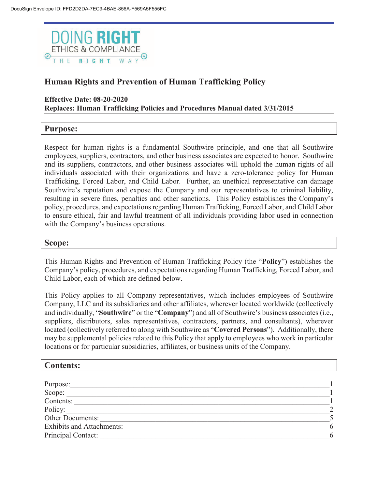

## **Human Rights and Prevention of Human Trafficking Policy**

#### **Effective Date: 08-20-2020 Replaces: Human Trafficking Policies and Procedures Manual dated 3/31/2015**

## **Purpose:**

Respect for human rights is a fundamental Southwire principle, and one that all Southwire employees, suppliers, contractors, and other business associates are expected to honor. Southwire and its suppliers, contractors, and other business associates will uphold the human rights of all individuals associated with their organizations and have a zero-tolerance policy for Human Trafficking, Forced Labor, and Child Labor. Further, an unethical representative can damage Southwire's reputation and expose the Company and our representatives to criminal liability, resulting in severe fines, penalties and other sanctions. This Policy establishes the Company's policy, procedures, and expectations regarding Human Trafficking, Forced Labor, and Child Labor to ensure ethical, fair and lawful treatment of all individuals providing labor used in connection with the Company's business operations.

#### **Scope:**

This Human Rights and Prevention of Human Trafficking Policy (the "**Policy**") establishes the Company's policy, procedures, and expectations regarding Human Trafficking, Forced Labor, and Child Labor, each of which are defined below.

This Policy applies to all Company representatives, which includes employees of Southwire Company, LLC and its subsidiaries and other affiliates, wherever located worldwide (collectively and individually, "**Southwire**" or the "**Company**") and all of Southwire's business associates (i.e., suppliers, distributors, sales representatives, contractors, partners, and consultants), wherever located (collectively referred to along with Southwire as "**Covered Persons**"). Additionally, there may be supplemental policies related to this Policy that apply to employees who work in particular locations or for particular subsidiaries, affiliates, or business units of the Company.

| <b>Contents:</b>                 |   |
|----------------------------------|---|
|                                  |   |
| Purpose:                         |   |
| Scope:                           |   |
| Contents:                        |   |
| Policy:                          |   |
| Other Documents:                 |   |
| <b>Exhibits and Attachments:</b> | 6 |
| Principal Contact:               | 6 |
|                                  |   |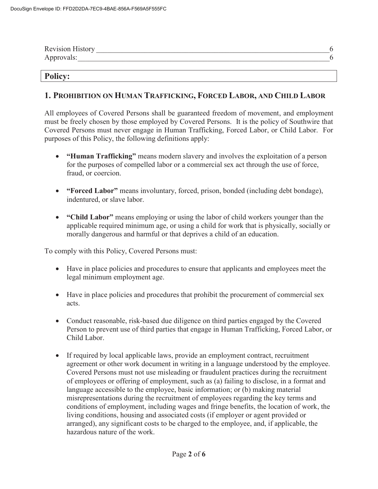| <b>Revision History</b> |  |
|-------------------------|--|
| Approvals:              |  |

#### **Policy:**

#### **1. PROHIBITION ON HUMAN TRAFFICKING, FORCED LABOR, AND CHILD LABOR**

All employees of Covered Persons shall be guaranteed freedom of movement, and employment must be freely chosen by those employed by Covered Persons. It is the policy of Southwire that Covered Persons must never engage in Human Trafficking, Forced Labor, or Child Labor. For purposes of this Policy, the following definitions apply:

- x **"Human Trafficking"** means modern slavery and involves the exploitation of a person for the purposes of compelled labor or a commercial sex act through the use of force, fraud, or coercion.
- x **"Forced Labor"** means involuntary, forced, prison, bonded (including debt bondage), indentured, or slave labor.
- x **"Child Labor"** means employing or using the labor of child workers younger than the applicable required minimum age, or using a child for work that is physically, socially or morally dangerous and harmful or that deprives a child of an education.

To comply with this Policy, Covered Persons must:

- Have in place policies and procedures to ensure that applicants and employees meet the legal minimum employment age.
- Have in place policies and procedures that prohibit the procurement of commercial sex acts.
- Conduct reasonable, risk-based due diligence on third parties engaged by the Covered Person to prevent use of third parties that engage in Human Trafficking, Forced Labor, or Child Labor.
- If required by local applicable laws, provide an employment contract, recruitment agreement or other work document in writing in a language understood by the employee. Covered Persons must not use misleading or fraudulent practices during the recruitment of employees or offering of employment, such as (a) failing to disclose, in a format and language accessible to the employee, basic information; or (b) making material misrepresentations during the recruitment of employees regarding the key terms and conditions of employment, including wages and fringe benefits, the location of work, the living conditions, housing and associated costs (if employer or agent provided or arranged), any significant costs to be charged to the employee, and, if applicable, the hazardous nature of the work.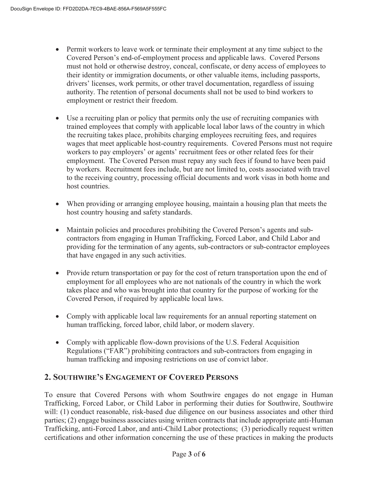- Permit workers to leave work or terminate their employment at any time subject to the Covered Person's end-of-employment process and applicable laws. Covered Persons must not hold or otherwise destroy, conceal, confiscate, or deny access of employees to their identity or immigration documents, or other valuable items, including passports, drivers' licenses, work permits, or other travel documentation, regardless of issuing authority. The retention of personal documents shall not be used to bind workers to employment or restrict their freedom.
- Use a recruiting plan or policy that permits only the use of recruiting companies with trained employees that comply with applicable local labor laws of the country in which the recruiting takes place, prohibits charging employees recruiting fees, and requires wages that meet applicable host-country requirements. Covered Persons must not require workers to pay employers' or agents' recruitment fees or other related fees for their employment. The Covered Person must repay any such fees if found to have been paid by workers. Recruitment fees include, but are not limited to, costs associated with travel to the receiving country, processing official documents and work visas in both home and host countries.
- When providing or arranging employee housing, maintain a housing plan that meets the host country housing and safety standards.
- Maintain policies and procedures prohibiting the Covered Person's agents and subcontractors from engaging in Human Trafficking, Forced Labor, and Child Labor and providing for the termination of any agents, sub-contractors or sub-contractor employees that have engaged in any such activities.
- Provide return transportation or pay for the cost of return transportation upon the end of employment for all employees who are not nationals of the country in which the work takes place and who was brought into that country for the purpose of working for the Covered Person, if required by applicable local laws.
- Comply with applicable local law requirements for an annual reporting statement on human trafficking, forced labor, child labor, or modern slavery.
- Comply with applicable flow-down provisions of the U.S. Federal Acquisition Regulations ("FAR") prohibiting contractors and sub-contractors from engaging in human trafficking and imposing restrictions on use of convict labor.

## **2. SOUTHWIRE'S ENGAGEMENT OF COVERED PERSONS**

To ensure that Covered Persons with whom Southwire engages do not engage in Human Trafficking, Forced Labor, or Child Labor in performing their duties for Southwire, Southwire will: (1) conduct reasonable, risk-based due diligence on our business associates and other third parties; (2) engage business associates using written contracts that include appropriate anti-Human Trafficking, anti-Forced Labor, and anti-Child Labor protections; (3) periodically request written certifications and other information concerning the use of these practices in making the products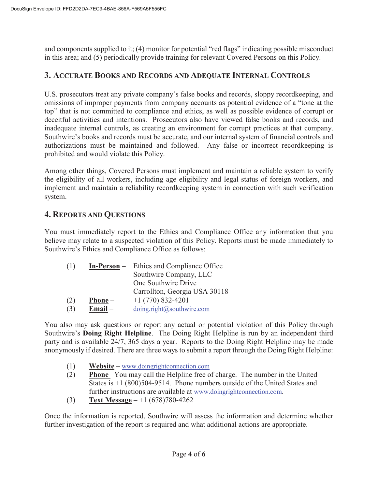and components supplied to it; (4) monitor for potential "red flags" indicating possible misconduct in this area; and (5) periodically provide training for relevant Covered Persons on this Policy.

## **3. ACCURATE BOOKS AND RECORDS AND ADEQUATE INTERNAL CONTROLS**

U.S. prosecutors treat any private company's false books and records, sloppy recordkeeping, and omissions of improper payments from company accounts as potential evidence of a "tone at the top" that is not committed to compliance and ethics, as well as possible evidence of corrupt or deceitful activities and intentions. Prosecutors also have viewed false books and records, and inadequate internal controls, as creating an environment for corrupt practices at that company. Southwire's books and records must be accurate, and our internal system of financial controls and authorizations must be maintained and followed. Any false or incorrect recordkeeping is prohibited and would violate this Policy.

Among other things, Covered Persons must implement and maintain a reliable system to verify the eligibility of all workers, including age eligibility and legal status of foreign workers, and implement and maintain a reliability recordkeeping system in connection with such verification system.

## **4. REPORTS AND QUESTIONS**

You must immediately report to the Ethics and Compliance Office any information that you believe may relate to a suspected violation of this Policy. Reports must be made immediately to Southwire's Ethics and Compliance Office as follows:

| (1) | $In-Person -$ | Ethics and Compliance Office  |
|-----|---------------|-------------------------------|
|     |               | Southwire Company, LLC        |
|     |               | One Southwire Drive           |
|     |               | Carrollton, Georgia USA 30118 |
| (2) | $Phone -$     | $+1(770)832-4201$             |
| (3) | $Email -$     | doing.right@southwire.com     |

You also may ask questions or report any actual or potential violation of this Policy through Southwire's **Doing Right Helpline**. The Doing Right Helpline is run by an independent third party and is available 24/7, 365 days a year. Reports to the Doing Right Helpline may be made anonymously if desired. There are three ways to submit a report through the Doing Right Helpline:

- (1) **Website** www.doingrightconnection.com
- (2) **Phone** –You may call the Helpline free of charge. The number in the United States is  $+1$  (800)504-9514. Phone numbers outside of the United States and further instructions are available at www.doingrightconnection.com.
- (3) **Text Message** +1 (678)780-4262

Once the information is reported, Southwire will assess the information and determine whether further investigation of the report is required and what additional actions are appropriate.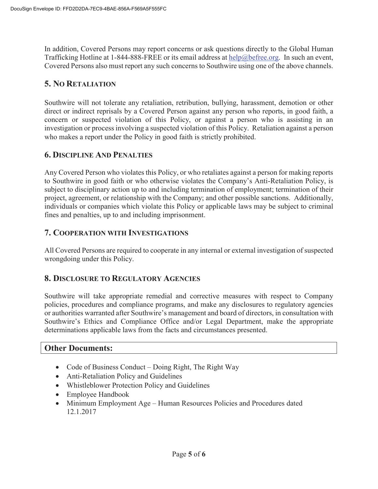In addition, Covered Persons may report concerns or ask questions directly to the Global Human Trafficking Hotline at 1-844-888-FREE or its email address at  $\frac{help@before.org}{b}$ . In such an event, Covered Persons also must report any such concerns to Southwire using one of the above channels.

## **5. NO RETALIATION**

Southwire will not tolerate any retaliation, retribution, bullying, harassment, demotion or other direct or indirect reprisals by a Covered Person against any person who reports, in good faith, a concern or suspected violation of this Policy, or against a person who is assisting in an investigation or process involving a suspected violation of this Policy. Retaliation against a person who makes a report under the Policy in good faith is strictly prohibited.

## **6. DISCIPLINE AND PENALTIES**

Any Covered Person who violates this Policy, or who retaliates against a person for making reports to Southwire in good faith or who otherwise violates the Company's Anti-Retaliation Policy, is subject to disciplinary action up to and including termination of employment; termination of their project, agreement, or relationship with the Company; and other possible sanctions. Additionally, individuals or companies which violate this Policy or applicable laws may be subject to criminal fines and penalties, up to and including imprisonment.

## **7. COOPERATION WITH INVESTIGATIONS**

All Covered Persons are required to cooperate in any internal or external investigation of suspected wrongdoing under this Policy.

#### **8. DISCLOSURE TO REGULATORY AGENCIES**

Southwire will take appropriate remedial and corrective measures with respect to Company policies, procedures and compliance programs, and make any disclosures to regulatory agencies or authorities warranted after Southwire's management and board of directors, in consultation with Southwire's Ethics and Compliance Office and/or Legal Department, make the appropriate determinations applicable laws from the facts and circumstances presented.

#### **Other Documents:**

- Code of Business Conduct Doing Right, The Right Way
- Anti-Retaliation Policy and Guidelines
- Whistleblower Protection Policy and Guidelines
- Employee Handbook
- Minimum Employment Age Human Resources Policies and Procedures dated 12.1.2017